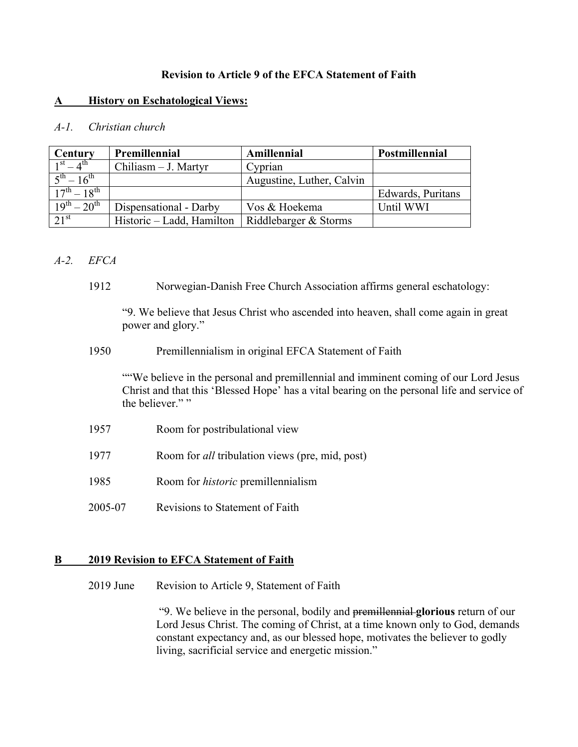### **Revision to Article 9 of the EFCA Statement of Faith**

### **A History on Eschatological Views:**

### *A-1. Christian church*

| Century                          | Premillennial             | Amillennial               | Postmillennial    |
|----------------------------------|---------------------------|---------------------------|-------------------|
| $1^{st} - 4^{th}$                | Chiliasm - J. Martyr      | Cyprian                   |                   |
| $5^{\text{th}} - 16^{\text{th}}$ |                           | Augustine, Luther, Calvin |                   |
| $17^{th} - 18^{th}$              |                           |                           | Edwards, Puritans |
| $19^{th} - 20^{th}$              | Dispensational - Darby    | Vos & Hoekema             | Until WWI         |
| 21 <sup>st</sup>                 | Historic – Ladd, Hamilton | Riddlebarger & Storms     |                   |

### *A-2. EFCA*

1912 Norwegian-Danish Free Church Association affirms general eschatology:

"9. We believe that Jesus Christ who ascended into heaven, shall come again in great power and glory."

1950 Premillennialism in original EFCA Statement of Faith

""We believe in the personal and premillennial and imminent coming of our Lord Jesus Christ and that this 'Blessed Hope' has a vital bearing on the personal life and service of the believer.""

- 1957 Room for postribulational view
- 1977 Room for *all* tribulation views (pre, mid, post)
- 1985 Room for *historic* premillennialism
- 2005-07 Revisions to Statement of Faith

### **B 2019 Revision to EFCA Statement of Faith**

2019 June Revision to Article 9, Statement of Faith

 "9. We believe in the personal, bodily and premillennial **glorious** return of our Lord Jesus Christ. The coming of Christ, at a time known only to God, demands constant expectancy and, as our blessed hope, motivates the believer to godly living, sacrificial service and energetic mission."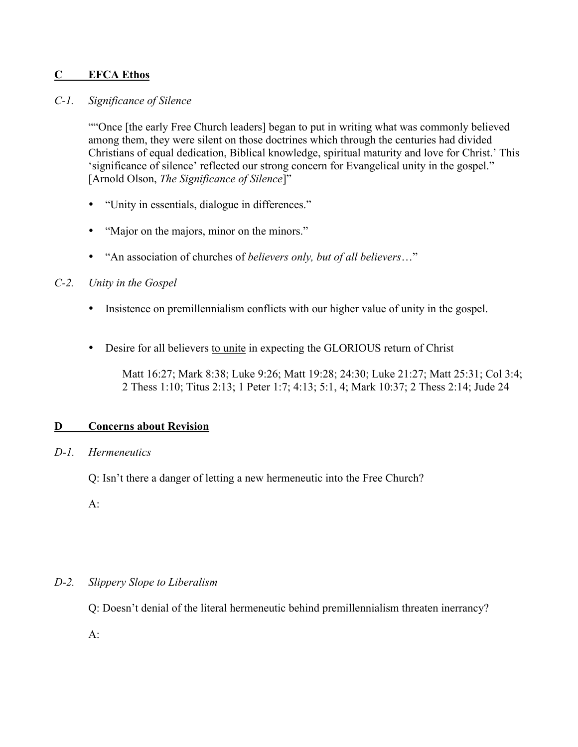# **C EFCA Ethos**

### *C-1. Significance of Silence*

""Once [the early Free Church leaders] began to put in writing what was commonly believed among them, they were silent on those doctrines which through the centuries had divided Christians of equal dedication, Biblical knowledge, spiritual maturity and love for Christ.' This 'significance of silence' reflected our strong concern for Evangelical unity in the gospel." [Arnold Olson, *The Significance of Silence*]"

- "Unity in essentials, dialogue in differences."
- "Major on the majors, minor on the minors."
- "An association of churches of *believers only, but of all believers*…"

## *C-2. Unity in the Gospel*

- Insistence on premillennialism conflicts with our higher value of unity in the gospel.
- Desire for all believers to unite in expecting the GLORIOUS return of Christ

Matt 16:27; Mark 8:38; Luke 9:26; Matt 19:28; 24:30; Luke 21:27; Matt 25:31; Col 3:4; 2 Thess 1:10; Titus 2:13; 1 Peter 1:7; 4:13; 5:1, 4; Mark 10:37; 2 Thess 2:14; Jude 24

### **D Concerns about Revision**

### *D-1. Hermeneutics*

Q: Isn't there a danger of letting a new hermeneutic into the Free Church?

 $A$ :

# *D-2. Slippery Slope to Liberalism*

Q: Doesn't denial of the literal hermeneutic behind premillennialism threaten inerrancy?

 $A$ :